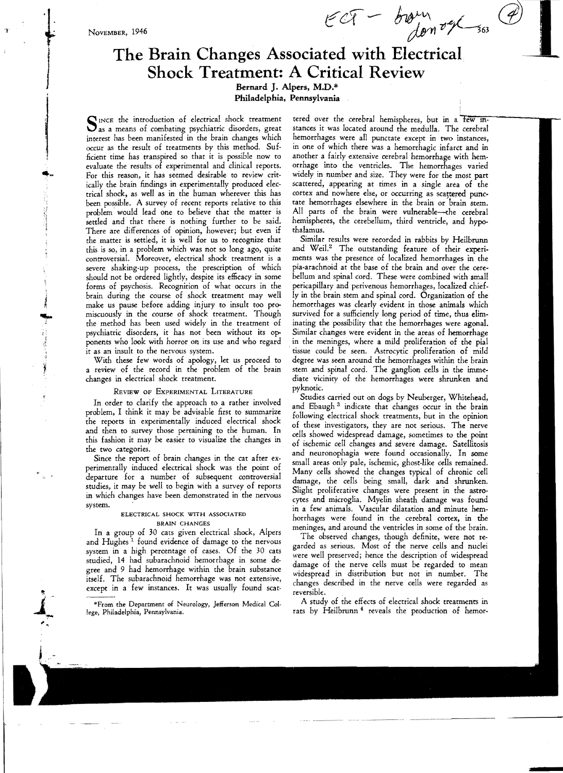NOVEMBER, 1946<br>The Brain Changes Associated with Flectrical NOVEMBER, 1946 **the** *L* and *L* and *Joy*  $\sigma$ <sup>363</sup>

# **The Brain Changes Associated with Electrical Shock Treatment: A Critical Review** SHOCK FRAMILIER: TX STRICAT RUVIOW

**Philadelphia, Pennsylvania** 

SINCE the introduction of electrical shock treatment<br>as a means of combating psychiatric disorders, great interest has been manifested in the brain changes which occur as the result of treatments by this method. Sufficient time has transpired so that it is possible now to evaluate the results of experimental and clinical reports. For this reason, it has seemed desirable to review critically the brain findings in experimentally produced electrical shock, as well as in the human wherever this has been possible. A survey of recent reports relative to this problem would lead one to believe that the matter is settled and that there is nothing further to be said. There are differences of opinion, however; but even if the matter is settled, it is well for us to recognize that this is so, in a problem which was not so long ago, quite controversial. Moreover, electrical shock treatment is a severe shaking-up process, the prescription of which should not be ordered lightly, despite its efficacy in some forms of psychosis. Recognition of what occurs in the brain during the course of shock treatment may well make us pause before adding injury to insult too promiscuously in the course of shock treatment. Though the method has been used widely in the treatment of psychiatric disorders, it has not been without its opponents who look with horror on its use and who regard it as an insult to the nervous system.

With these few words of apology, let us proceed to a review of the record in the problem of the brain changes in electrical shock treatment.

## REVIEW OF EXPERIMENTAL LITERATURE

In order to clarify the approach to a rather involved problem, I think it may be advisable first to summarize the reports in experimentally induced electrical shock and then to survey those pertaining to the human. In this fashion it may be easier to visualize the changes in the two categories.

Since the report of brain changes in the cat after experimentally induced electrical shock was the point of departure for a number of subsequent controversial studies, it may be well to begin with a survey of reports in which changes have been demonstrated in the nervous system.

### ELECTRICAL SHOCK WITH ASSOCIATED BRAIN CHANGES

In a group of 30 cats given electrical shock, Alpers and Hughes<sup>1</sup> found evidence of damage to the nervous system in a high percentage of cases. Of the 30 cats studied, 14 had subarachnoid hemorrhage in some degree and 9 had hemorrhage within the brain substance itself. The subarachnoid hemorrhage was not extensive, except in a few instances. It was usually found scat

tered over the cerebral hemispheres, but in a few instances it was located around the medulla. The cerebral hemorrhages were all punctate except in two instances, in one of which there was a hemorrhagic infarct and in another a fairly extensive cerebral hemorrhage with hem orrhage into the ventricles. The hemorrhages varied widely in number and size. They were for the most part scattered, appearing at times in a single area of the cortex and nowhere else, or occurring as scattered punctate hemorrhages elsewhere in the brain or brain stem. All parts of the brain were vulnerable--the cerebral hemispheres, the cerebellum, third ventricle, and hypo thalamus.

Similar results were recorded in rabbits by Heilbrunn and Weil.<sup>2</sup> The outstanding feature of their experiments was the presence of localized hemorrhages in the pia-arachnoid at the base of the brain and over the cere bellum and spinal cord. These were combined with small pericapillary and perivenous hemorrhages, localized chief ly in the brain stem and spinal cord. Organization of the hemorrhages was clearly evident in those animals which survived for a sufficiently long period of time, thus elim inating the possibility that the hemorrhages were agonal. Similar changes were evident in the areas of hemorrhage in the meninges, where a mild proliferation of the pial . tissue could be seen. Astrocytic proliferation of mild degree was seen around the hemorrhages within the brain stem and spinal cord. The ganglion cells in the immediate vicinity of the hemorrhages were shrunken and pyknotic.

Studies carried out on dogs by Neuberger, Whitehead, and Ebaugh<sup>3</sup> indicate that changes occur in the brain following electrical shock treatments, but in the opinion of these investigators, they are not serious. The nerve cells showed widespread damage, sometimes to the point of ischemic cell changes and severe damage. Satellitosis and neuronophagia were found occasionally. In some small areas only pale, ischemic, ghost-like cells remained. Many cells showed the changes typical of chronic cell damage, the cells being small, dark and shrunken. Slight proliferative changes were present in the astro cytes and microglia. Myelin sheath damage was found in a few animals. Vascular dilatation and minute hem horrhages were found in the cerebral cortex, in the meninges, and around the ventricles in some of the brain.

The observed changes, though definite, were not re garded as serious. Most of the nerve cells and nuclei were well preserved; hence the description of widespread damage of the nerve cells must be regarded to mean widespread in distribution but not in number. The changes described in the nerve cells were regarded as reversible.

A study of the effects of electrical shock treatments in rats by Heilbrunn<sup>4</sup> reveals the production of hemor-

<sup>\*</sup>From the Department of Neurology, Jefferson Medical College, Philadelphia, Pennsylvania.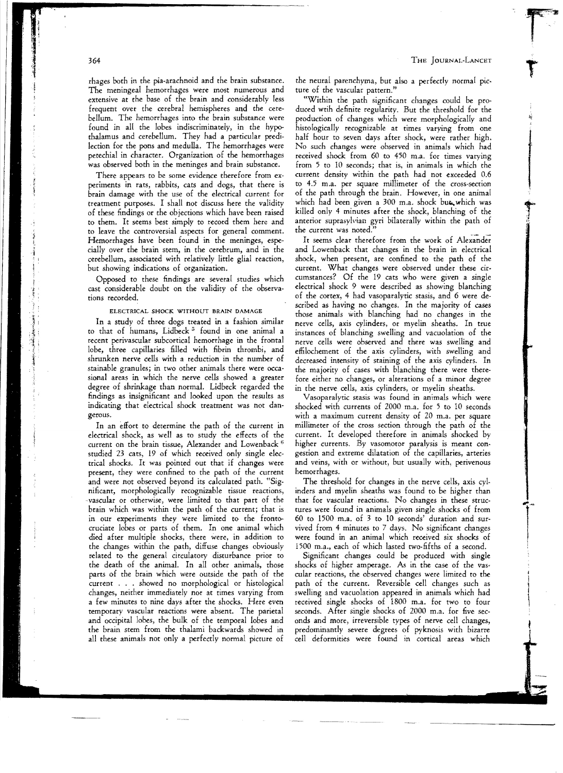rhages both in the pia-arachnoid and the brain substance\_ The meningeal hemorrhages were most numerous and extensive at the base of the brain and considerably less frequent over the cerebral hemispheres and the cerebellum. The hemorrhages into the brain substance were found in all the lobes indiscriminately, in the hypothalamus and cerebellum. They had a particular predilection for the pons and medulla. The hemorrhages were petechial in character. Organization of the hemorrhages was observed both in the meninges and brain substance.

There appears to be some evidence therefore from experiments in rats, rabbits, cats and dogs, that there is brain damage with the use of the electrical current for treatment purposes. I shall not discuss here the validity of these findings or the objections which have been raised to them. It seems best simply to record them here and to leave the controversial aspects for general comment. Hemorrhages have been found in the meninges, especially over the brain stem, in the cerebrum, and in the cerebellum, associated with relatively little glial reaction, but showing indications of organization.

Opposed to these findings are several studies which cast considerable doubt on the validity of the observations recorded.

#### ELECTRICAL SHOCK WITHOUT BRAIN DAMAGE

In a study of three dogs treated in a fashion similar to that of humans, Lidbeck<sup>5</sup> found in one animal a recent perivascular subcortical hemorrhage in the frontal lobe, three capillaries filled with fibrin thrombi, and shrunken nerve cells with a reduction in the number of stainable granules; in two other animals there were occasional areas in which the nerve cells showed a greater degree of shrinkage than normal. Lidbeck regarded the findings as insignificant and looked upon the results as indicating that electrical shock treatment was not dangerous.

In an effort to determine the path of the current in electrical shock, as well as to study the effects of the current on the brain tissue, Alexander and Lowenback 6 studied 23 cats, 19 of which received only single electrical shocks. It was pointed out that if changes were present, they were confined to the path of the current and were not observed beyond its calculated path. "Significant, morphologically recognizable tissue reactions, vascular or otherwise, were limited to that part of the brain which was within the path of the current; that is in our experiments they were limited to the frontocruciate lobes or parts of them. In one animal *which*  died after multiple shocks, there were, in addition to the changes within the path, diffuse changes obviously related to the general circulatory disturbance prior to the death of the animal. In all other animals, those parts of the brain which were outside the path of the current . . . showed no morphological or histological changes, neither immediately nor at times varying from a few minutes to nine days after the shocks. Here even temporary vascular reactions were absent. The parietal and occipital lobes, the bulk of the temporal lobes and the brain stem from the thalami backwards showed in all these animals not only a perfectly normal picture of

the neural parenchyma, but also a perfectly normal pic. ture of the vascular pattern."

"Within the path significant changes could be produced wtih definite regularity. But the threshold for the production of changes which were morphologically and histologically recognizable at times varying from one half hour to seven days after shock, were rather high. No such changes were observed in animals which had received shock from 60 to 450 m.a. for times varying from 5 to 10 seconds; that is, in animals in which the current density within the path had not exceeded 0.6 to 4.5 m.a. per square millimeter of the cross-section of the path through the brain. However, in one animal which had been given a 300 m.a. shock but which was killed only 4 minutes after the shock, blanching of the anterior suprasylvian gyri bilaterally within the path of the current was noted.

It seems clear therefore from the work of Alexander and Lowenback that changes in the brain in electrical shock, when present, are confined to the path of the current. What changes were observed under these circumstances? Of the 19 cats who were given a single electrical shock 9 were described as showing blanching of the cortex, 4 had vasoparalytic stasis, and 6 were described as having no changes. In the majority of cases those animals with blanching had no changes in the nerve cells, axis cylinders, or myelin sheaths. In true instances of blanching swelling and vacuolation of the nerve cells were observed and there was swelling and eflilochement of the axis cylinders, with swelling and decreased intensity of staining of the axis cylinders. In the majority of cases with blanching there were therefore either no changes, or alterations of a minor degree in the nerve cells, axis cylinders, or myelin sheaths.

Vasoparalytic stasis was found in animals which were shocked with currents of 2000 m.a. for 5 to 10 seconds with a maximum current density of 20 m.a. per square millimeter of the cross section through the path of the current. It developed therefore in animals shocked by higher currents. By vasomotor paralysis is meant congestion and extreme dilatation of the capillaries, arteries and veins, with or without, but usually with, perivenous hemorrhages.

The threshold for changes in the nerve celis, axis cylinders and myelin sheaths was found to be higher than that for vascular reactions. No changes in these structures were found in animals given single shocks of from 60 to 1500 m.a. of 3 to 10 seconds' duration and survived from 4 minutes to 7 days. No significant changes were found in an animal which received six shocks 1500 m.a., each of which lasted two-fifths of a second. an<br>1c-<br>1r-<br>ges<br>of<br>1.

Significant changes could be produced with single shocks of higher amperage. As in the case of the vascular reactions, the observed changes were limited to the path of the current. Reversible cell changes such as swelling and vacuolation appeared in animals which had received single shocks of 1800 m.a. for two to four seconds. After single shocks of 2000 m.a. for five seconds and more, irreversible types of nerve cell changes, predominantly severe degrees of pyknosis with bizarre cell deformities were found in cortical areas which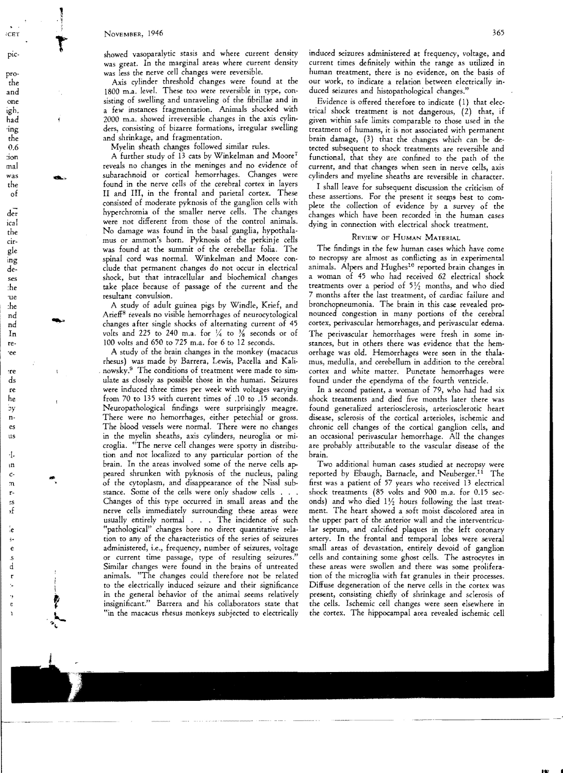showed vasoparalytic stasis and where current density was great. In the marginal areas where current density was less the nerve cell changes were reversible.

Axis cylinder threshold changes were found at the 1800 m.a. level. These too were reversible in type, consisting of swelling and unraveling of the fibrillae and in a few instances fragmentation. Animals shocked with  $2000$  m.a. showed irreversible changes in the axis cylinders, consisting of bizarre formations, irregular swelling and shrinkage, and fragmentation.

Myelin sheath changes followed similar rules.

A further study of 13 cats by Winkelman and Moore<sup>7</sup> reveals no changes in the meninges and no evidence of **was** subarachnoid or cortical hemorrhages. Changes were found in the nerve cells of the cerebral cortex in layers II and III, in the frontal and parietal cortex. These consisted of moderate pyknosis of the ganglion cells with hyperchromia of the smaller nerve cells. The changes were not different from those of the control animals. No damage was found in the basal ganglia, hypothalamus or ammon's horn. Pyknosis of the perkinje cells was found at the summit of the cerebellar folia. The spinal cord was normal. Winkelman and Moore conclude that permanent changes do not occur in electrical shock, but that intracellular and biochemical changes take place because of passage of the current and the resultant convulsion.

A study of adult guinea pigs by Windle, Krief, and Arieff<sup>8</sup> reveals no visible hemorrhages of neurocytological changes after single shocks of alternating current of 45 volts and 225 to 240 m.a. for  $\frac{1}{4}$  to  $\frac{3}{8}$  seconds or of 100 volts and 650 to 725 m.a. for 6 to 12 seconds.

A study of the brain changes in the monkey (macacus rhesus) was made by Barrera, Lewis, Pacella and Kali nowsky.<sup>9</sup> The conditions of treatment were made to simulate as closely as possible those in the human. Seizures were induced three times per week with voltages varying from 70 to 135 with current times of .10 to .15 seconds. Neuropathological findings were surprisingly meagre. There were no hemorrhages, either petechial or gross. The blood vessels were normal. There were no changes in the myelin sheaths, axis cylinders, neuroglia or microglia. "The nerve cell changes were spotty in distribu tion and not localized to any particular portion of the brain. In the areas involved some of the nerve cells appeared shrunken with pyknosis of the nucleus, paling<br>of the cytoplasm, and disappearance of the Nissl substance. Some of the cells were only shadow cells . . . Changes of this type occurred in small areas and the nerve cells immediately surrounding these areas were usually entirely normal . . . The incidence of such "pathological" changes bore no direct quantitative relation to any of the characteristics of the series of seizures e administered, i.e., frequency, number of seizures, voltage or current time passage, type of resulting seizures." Similar changes were found in the brains of untreated animals. "The changes could therefore not be related to the electrically induced seizure and their significance or current time passage, type of resulting seizures."<br>
Similar changes were found in the brains of untreated<br>
animals. "The changes could therefore not be related<br>
to the electrically induced seizure and their significance insignificant." Barrera and his collaborators state that "in the macacus rhesus monkeys subjected to electrically

induced seizures administered at frequency, voltage, and current times definitely within the range as utilized in human treatment, there is no evidence, on the basis of our work, to indicate a relation between electrically induced seizures and histopathological changes."

Evidence is offered therefore to indicate (1) that electrical shock treatment is not dangerous, (2) that, if given within safe limits comparable to those used in the treatment of humans, it is not associated with permanent brain damage, (3) that the changes which can be detected subsequent to shock treatments are reversible and functional, that *they* are confined to the path of the current, and that changes when seen in nerve cells, axis cylinders and myeline sheaths are reversible in character.

I shall leave for subsequent discussion the criticism of these assertions. For the present it seems best to complete the collection of evidence by a survey of the changes which have been recorded in the human cases dying in connection with electrical shock treatment.

## REVIEW OF HUMAN MATERIAL

The findings in the few human cases which have come to necropsy are almost as conflicting as in experimental animals. Alpers and Hughes<sup>10</sup> reported brain changes in a woman of 45 who had received 62 electrical shock treatments over a period of  $5\frac{1}{2}$  months, and who died 7 months after the last treatment, of cardiac failure and bronchopneumonia. The brain in this case revealed pronounced congestion in many portions of the cerebral cortex, perivascular hemorrhages, and perivascular edema. The perivascular hemorrhages were fresh in some instances, but in others there was evidence that the hemorrhage was old. Hemorrhages were seen in the thalamus, medulla, and cerebellum in addition to the cerebral cortex and white matter. Punctate hemorrhages were found under the ependyma of the fourth ventricle.

In a second patient, a woman of 79, who had had six shock treatments and died five months later there was found generalized arteriosclerosis, arteriosclerotic heart disease, sclerosis of the cortical arterioles, ischemic and chronic cell changes of the cortical ganglion cells, and an occasional perivascular hemorrhage. All the changes are probably attributable to the vascular disease of the brain.

Two additional human cases studied at necropsy were reported by Ebaugh, Barnacle, and Neuberger.<sup>11</sup> The first was a patient of 57 years who received 13 electrical shock treatments (85 volts and 900 m.a. for 0.l5 seconds) and who died  $1\frac{1}{2}$  hours following the last treatment. The heart showed a soft moist discolored area in the upper part of the anterior wall and the interventricular septum, and calcified plaques in the left coronary artery. In the frontal and temporal lobes were several small areas of devastation, entirely devoid of ganglion cells and containing some ghost cells. The astrocytes in these areas were swollen and there was some proliferation of the microglia with fat granules in their processes. Diffuse degeneration of the nerve cells in the cortex was present, consisting chiefly of shrinkage and sclerosis of the cells. Ischemic cell changes were seen elsewhere in the cortex. The hippocampal area revealed ischemic cell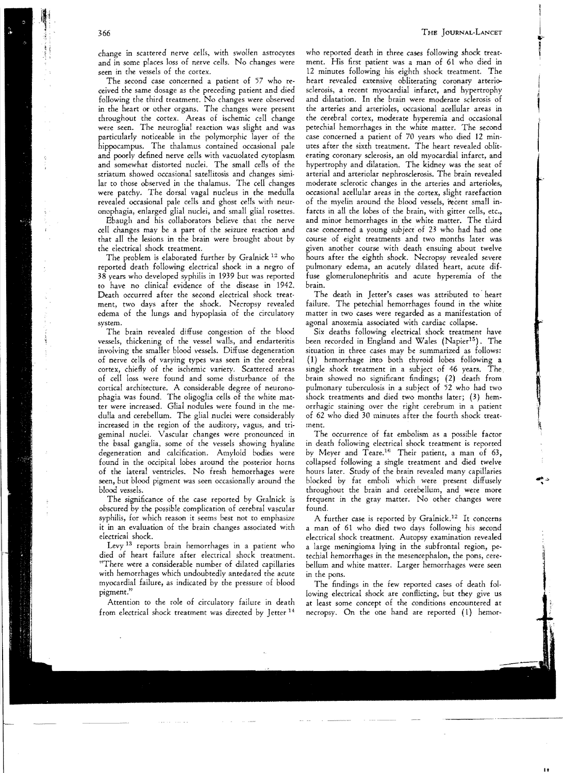change in scattered nerve cells, with swollen astrocytes and in some places loss of nerve cells. No changes were seen in the vessels of the cortex.

The second case concerned a patient of 57 who received the same dosage as the preceding patient and died following the third treatment. No changes were observed in the heart or other organs. The changes were present throughout the cortex. Areas of ischemic cell change were seen. The neuroglial reaction was slight and was particularly noticeable in the polymorphic layer of the hippocampus. The thalamus contained occasional pale and poorly defined nerve cells with vacuolated cytoplasm and somewhat distorted nuclei. The small cells of the striatum showed occasional satellitosis and changes similar to those observed in the thalamus. The cell changes were patchy. The dorsal vagal nucleus in the medulla revealed occasional pale cells and ghost cells with neuronophagia, enlarged glial nuclei, and small glial rosettes.

Ebaugh and his collaborators believe that the nerve cell changes may be a part of the seizure reaction and that all the lesions in the brain were brought about by the electrical shock treatment.

The problem is elaborated further by Gralnick  $12$  who reported death following electrical shock in a negro of 38 years who developed syphilis in 1939 but was reported to have no clinical evidence of the disease in 1942. Death occurred after the second electrical shock treatment, two days after the shock. Necropsy revealed edema of the lungs and hypoplasia of the circulatory system.

The brain revealed diffuse congestion of the blood vessels, thickening of the vessel walls, and endarteritis involving the smaller blood vessels. Diffuse degeneration of nerve cells of varying types was seen in the cerebral cortex, chiefly of the ischemic variety. Scattered areas of cell loss were found and some disturbance of the cortical architecture. A considerable degree of neuronophagia was found. The oligoglia cells of the white matter were increased. Glial nodules were found in the medulla and cerebellum. The glial nuclei were considerably increased in the region of the auditory, vagus, and trigeminal nuclei. Vascular changes were pronounced in the basal ganglia, some of the vessels showing hyaline degeneration and calcification. Amyloid bodies were found in the occipital lobes around the posterior horns of the lateral ventricles. No fresh hemorrhages were seen, but blood pigment was seen occasionally around the blood vessels.

The significance of the case reported by Gralnick is obscured by the possible complication of cerebral vascular syphilis, for which reason it seems best not to emphasize it in an evaluation of the brain changes associated with electrical shock.

Levy 13 reports brain hemorrhages in a patient who died of heart failure after electrical shock treatment. "There were a considerable number of dilated capillaries with hemorrhages which undoubtedly antedated the acute myocardial failure, as indicated by the pressure of blood pigment."

Attention to the role of circulatory failure in death from electrical shock treatment was directed by Jetter<sup>14</sup>

who reported death in three cases following shock treatment. His first patient was a man of 61 who died in 12 minutes following his eighth shock treatment. The heart revealed extensive obliterating coronary arteriosclerosis, a recent myocardial infarct, and hypertrophy and dilatation. In the brain were moderate sclerosis of the arteries and arterioles, occasional acellular areas in the cerebral cortex, moderate hyperemia and occasional petechial hemorrhages in the white matter. The second case concerned a patient of 70 years who died 12 minutes after the sixth treatment. The heart revealed obliterating coronary sclerosis, an old myocardial infarct, and hypertrophy and dilatation. The kidney was the seat of arterial and arteriolar nephrosclerosis. The brain revealed moderate sclerotic changes in the arteries and arterioles, occasional acellular areas in the cortex, slight rarefaction of the myelin around the blood vessels, fecent small infarcts in all the lobes of the brain, with gitter cells, etc., and minor hemorrhages in the white matter. The third case concerned a young subject of 23 who had had one course of eight treatments and two months later was given another course with death ensuing about twelve hours after the eighth shock. Necropsy revealed severe pulmonary edema, an acutely dilated heart, acute diffuse glomerulonephritis and acute hyperemia of the brain.

The death in Jetter's cases was attributed to' heart failure. The petechial hemorrhages found in the white matter in two cases were regarded as a manifestation of agonal anoxemia associated with cardiac collapse.

Six deaths following electrical shock treatment have been recorded in England and Wales (Napier<sup>15</sup>). The situation in three cases may be summarized as follows: (1) hemorrhage into both thyroid lobes following a single shock treatment in a subject of 46 years. The. brain showed no significant findings; (2) death from pulmonary tuberculosis in a subject of 52 who had two shock treatments and died two months later; (3) hemorrhagic staining over the right cerebrum in a patient of 62 who died 30 minutes after the fourth shock treatment.

The occurrence of fat embolism as a possible factor in death following electrical shock treatment is reported by Meyer and Teare.<sup>16</sup> Their patient, a man of 63, collapsed following a single treatment and died twelve hours later. Study of the brain revealed many capillaries blocked by fat emboli which were present diffusely throughout the brain and cerebellum, and were more frequent in the gray matter. No other changes were found.

A further case is reported by Gralnick.<sup>12</sup> It concerns a man of 61 who died two days following his second electrical shock treatment. Autopsy examination revealed a large meningioma lying in the sub frontal region, petechial hemorrhages in the mesencephalon, the pons, cerebellum and white matter. Larger hemorrhages were seen in the pons.

The findings in the few reported cases of death following electrical shock are conflicting, but they give us at least some concept of the conditions encountered at necropsy. On the one hand are reported (1) hemor-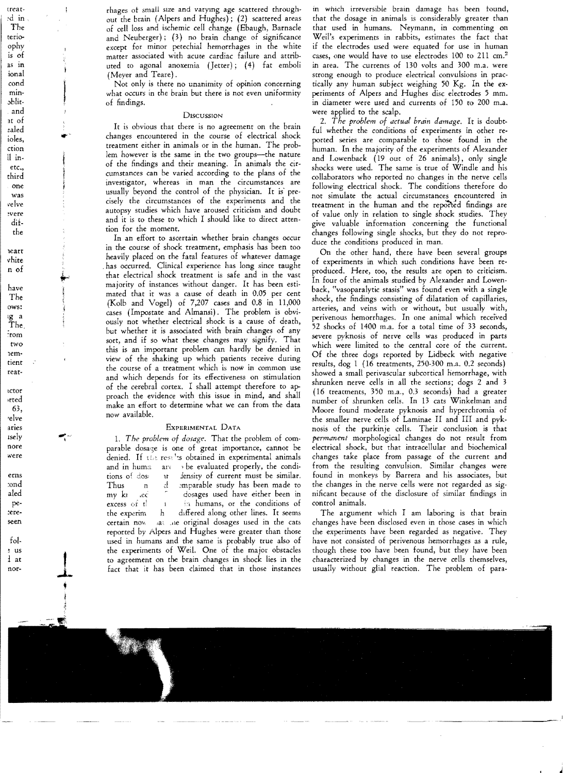rhages of small size and varying age scattered throughout the brain (Alpers and Hughes); (2) scattered areas of cell loss and ischemic cell change (Ebaugh, Barnacle and Neuberger); (3) no brain change of significance except for minor petechial hemorrhages in the white matter associated with acute cardiac failure and attributed to agonal anoxemia (Jetter); (4) fat emboli (Mever and Teare).

Not only is there no unanimity of opinion concerning what occurs in the brain but there is not even uniformity of findings.

## DISCUSSION

It is obvious that there is no agreement on the brain changes encountered in the course of electrical shock treatment either in animals or in the human. The problem however is the same in the two groups-the nature of the findings and their meaning. In animals the circumstances can be varied according to the plans of the investigator, whereas in man the circumstances are usually beyond the control of the physician. It is precisely the circumstances of the experiments and the autopsy studies which have aroused criticism and doubt and it is to these to which I should like to direct attention for the moment.

In an effort to ascertain whether brain changes occur in the course of shock treatment, emphasis has been too heavily placed on the fatal features of whatever damage has occurred. Clinical experience has long since taught that electrical shock treatment is safe and in the vast majority of instances without danger. It has been estimated that it was a cause of death in 0.05 per cent (Kolb and Vogel) of 7,207 cases and 0.8 in 11,000 cases (Impostate and Almansi). The problem is obviously not whether electrical shock is a cause of death, but whether it is associated with brain changes of any sort, and if so what these changes may signify. That this is an important problem can hardly be denied in view of the shaking up which patients receive during the course of a treatment which is now in common use and which depends for its effectiveness on stimulation of the cerebral cortex. I shall attempt therefore to approach the evidence with this issue in mind, and shall make an effort to determine what we can from the data now available.

## EXPERIMENTAL DATA

1. The problem of dosage. That the problem of comparable dosage is one of great importance, cannot be denied. If the results obtained in experimental animals  $\text{arc} \rightarrow \text{be evaluated properly, the condi-}$ and in huma tions of dos: density of current must be similar.  $\mathbf{u}$ đ smparable study has been made to Thus  $\boldsymbol{\Omega}$ dosages used have either been in  $\mathcal{L}$  $my$  ki excess of th in humans, or the conditions of  $\mathbf{I}$ differed along other lines. It seems the experim h at the original dosages used in the cats certain now reported by Alpers and Hughes were greater than those used in humans and the same is probably true also of the experiments of Weil. One of the major obstacles to agreement on the brain changes in shock lies in the fact that it has been claimed that in those instances

in which irreversible brain damage has been found, that the dosage in animals is considerably greater than that used in humans. Neymann, in commenting on Weil's experiments in rabbits, estimates the fact that if the electrodes used were equated for use in human cases, one would have to use electrodes 100 to 211 cm.<sup>2</sup> in area. The currents of 130 volts and 300 m.a. were strong enough to produce electrical convulsions in practically any human subject weighing 50 Kg. In the experiments of Alpers and Hughes disc electrodes 5 mm. in diameter were used and currents of 150 to 200 m.a. were applied to the scalp.

2. The problem of actual brain damage. It is doubtful whether the conditions of experiments in other reported series are comparable to those found in the human. In the majority of the experiments of Alexander and Lowenback (19 out of 26 animals), only single shocks were used. The same is true of Windle and his collaborators who reported no changes in the nerve cells following electrical shock. The conditions therefore do not simulate the actual circumstances encountered in treatment in the human and the reported findings are of value only in relation to single shock studies. They give valuable information concerning the functional changes following single shocks, but they do not reproduce the conditions produced in man.

On the other hand, there have been several groups of experiments in which such conditions have been reproduced. Here, too, the results are open to criticism. In four of the animals studied by Alexander and Lowenback, "vasoparalytic stasis" was found even with a single shock, the findings consisting of dilatation of capillaries, arteries, and veins with or without, but usually with, perivenous hemorrhages. In one animal which received 52 shocks of 1400 m.a. for a total time of 33 seconds, severe pyknosis of nerve cells was produced in parts which were limited to the central core of the current. Of the three dogs reported by Lidbeck with negative results, dog  $1$  (16 treatments, 250-300 m.a. 0.2 seconds) showed a small perivascular subcortical hemorrhage, with shrunken nerve cells in all the sections; dogs 2 and 3 (16 treatments, 350 m.a., 0.3 seconds) had a greater number of shrunken cells. In 13 cats Winkelman and Moore found moderate pyknosis and hyperchromia of the smaller nerve cells of Laminae II and III and pyknosis of the purkinje cells. Their conclusion is that permanent morphological changes do not result from electrical shock, but that intracellular and biochemical changes take place from passage of the current and from the resulting convulsion. Similar changes were found in monkeys by Barrera and his associates, but the changes in the nerve cells were not regarded as significant because of the disclosure of similar findings in control animals.

The argument which I am laboring is that brain changes have been disclosed even in those cases in which the experiments have been regarded as negative. They have not consisted of perivenous hemorrhages as a rule, though these too have been found, but they have been characterized by changes in the nerve cells themselves, usually without glial reaction. The problem of para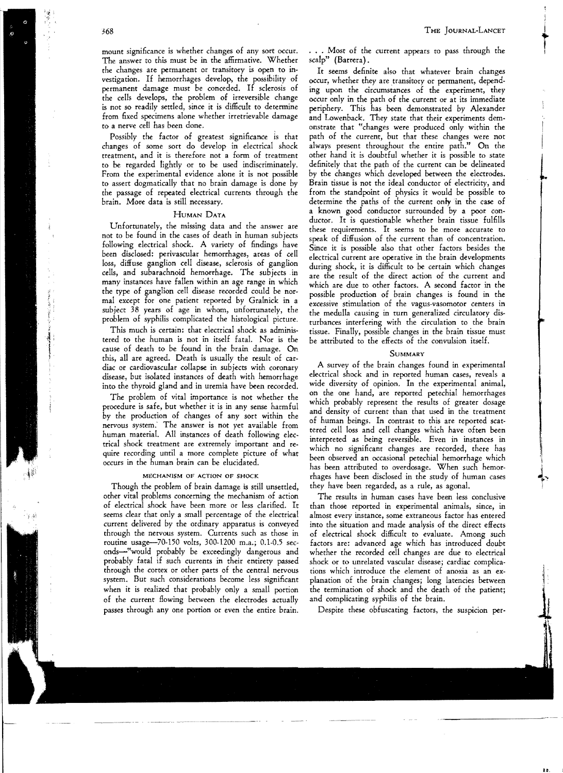The answer to this must be in the affirmative. Whether the changes are permanent or transitory is open to investigation. If hemorrhages develop, the possibility of permanent damage must be conceded. If sclerosis of the cells develops, the problem of irreversible change is not so readily settled, since it is difficult to determine from fixed specimens alone whether irretrievable damage to a nerve cell has been done.

Possibly the factor of greatest significance is that changes of some sort do develop in electrical shock treatment, and it is therefore not a form of treatment to be regarded lightly or to be used indiscriminately. From the experimental evidence alone it is not possible to assert dogmatically that no brain damage is done by the passage of repeated electrical currents through the brain. More data is still necessary.

### HUMAN DATA

Unfortunately, the missing data and the answer are not to be found in the cases of death in human subjects following electrical shock. A variety of findings have been disclosed: perivascular hemorrhages, areas of cell loss, diffuse ganglion cell disease, sclerosis of ganglion cells, and subarachnoid hemorrhage. The subjects in many instances have fallen within an age range in which the type of ganglion cell disease recorded could be normal except for one patient reported by Gralnick in a subject 38 years of age in whom, unfortunately, the problem of syphilis complicated the histological picture.

This much is certain: that electtical shock as administered to the human is not in itself fatal. Nor is the cause of death to be found in the brain damage. On this, all are agreed. Death is usually the result of cardiac or cardiovascular collapse in subjects with coronary disease, but isolated instances of death with hemorrhage into the thyroid gland and in uremia have been recorded.

The problem of vital importance is not whether the procedure is safe, but whether it is in any sense harmful by the production of changes of any sort within the nervous system.' The answer is not yet available from human material. All instances of death following electrical shock treatment are extremely important and require recording until a more complete picture of what occurs in the human brain can be elucidated.

### MECHANISM OF ACTION OF SHOCK

Though the problem of brain damage is still unsettled, other vital problems concerning the mechanism of action of electrical shock have been more or less clarified. It seems clear that only a small percentage of the electrical current delivered by the ordinary apparatus is conveyed through the nervous system. Currents such as those in routine usage-70-150 volts, 300-1200 m.a.; 0.1-0.5 seconds-"would probably be exceedingly dangerous and probably fatal if such currents in their entirety passed through the cortex or other parts of the central nervous system. But such considerations become less significant when it is realized that probably only a small portion of the current flowing between the electrodes actually passes through any one portion or even the entire brain.

mount significance is whether changes of any sort occur.  $\ldots$  Most of the current appears to pass through the scalp" (Barrera).

> It seems definite also that whatever brain changes occur, whether they are transitory or permanent, depending upon the circumstances of the experiment, they occur only in the path of the current or at its immediate periphery. This has been demonstrated by Alexander and Lowenback. They state that their experiments demonstrate that "changes were produced only within the path of the current, but that these changes were not always present throughout the entire path." On the other hand it is doubtful whether it is possible to state definitely that the path of the current can be delineated by the changes which developed between the electrodes. Brain tissue is not the ideal conductor of electricity, and from the standpoint of physics it would be possible to determine the paths of the current only in the case of a known good conductor surrounded by a poor conductor. It is questionable whether brain tissue fulfills these requirements. It seems to be more accurate to speak of diffusion of the current than of concentration. Since it is possible also that other factors besides the electrical current are operative in the brain developments during shock, it is difficult to be certain which changes are the result of the direct action of the current and which are due to other factors. A second factor in the possible production of brain changes is found in the excessive stimulation of the vagus-vasomotor centers in the medulla causing in turn generalized circulatory disturbances interfering with the circulation to the brain tissue. Finally, possible changes in the brain tissue must be attributed to the effects of the convulsion itself.

## **SUMMARY**

A survey of the brain changes found in experimental electrical shock and in reported human cases, reveals a wide diversity of opinion. In the experimental animal, on the one hand, are reported petechial hemorrhages which probably represent the results of greater dosage and density of current than that used in the treatment of human beings. In contrast to this are reported scattered cell loss and cell changes which have often been interpreted as being reversible. Even in instances in which no significant changes are recorded, there has been observed an occasional petechial hemorrhage which has been attributed to overdosage. When such hemorrhages have been disclosed in the study of human cases they have been regarded, as a rule, as agonal.

The results in human cases have been less conclusive than those reported in experimental animals, since, in almost every instance, some extraneous factor has entered into the situation and made analysis of the direct effects of electrical shock difficult to evaluate. Among such factors are: advanced age which has introduced doubt whether the recorded cell changes are due to electrical shock or to unrelated vascular disease; cardiac complications which introduce the element of anoxia as an explanation of the brain changes; long latencies between the termination of shock and the death of the patient; and complicating syphilis of the brain.

Despite these obfuscating factors, the suspicion per-